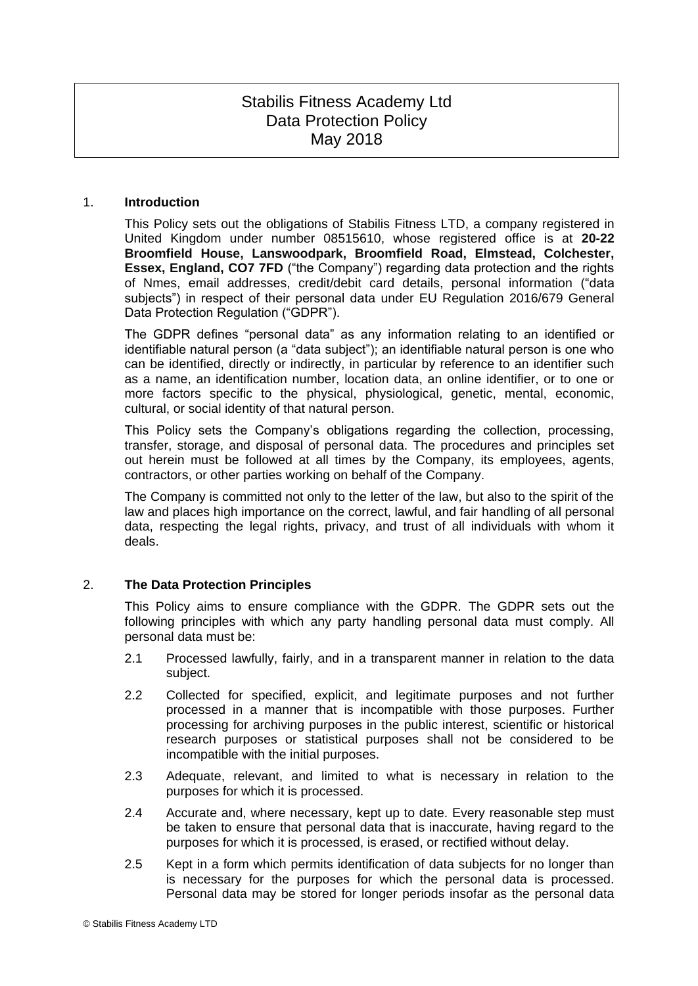# Stabilis Fitness Academy Ltd Data Protection Policy May 2018

#### 1. **Introduction**

This Policy sets out the obligations of Stabilis Fitness LTD, a company registered in United Kingdom under number 08515610, whose registered office is at **20-22 Broomfield House, Lanswoodpark, Broomfield Road, Elmstead, Colchester, Essex, England, CO7 7FD** ("the Company") regarding data protection and the rights of Nmes, email addresses, credit/debit card details, personal information ("data subjects") in respect of their personal data under EU Regulation 2016/679 General Data Protection Regulation ("GDPR").

The GDPR defines "personal data" as any information relating to an identified or identifiable natural person (a "data subject"); an identifiable natural person is one who can be identified, directly or indirectly, in particular by reference to an identifier such as a name, an identification number, location data, an online identifier, or to one or more factors specific to the physical, physiological, genetic, mental, economic, cultural, or social identity of that natural person.

This Policy sets the Company's obligations regarding the collection, processing, transfer, storage, and disposal of personal data. The procedures and principles set out herein must be followed at all times by the Company, its employees, agents, contractors, or other parties working on behalf of the Company.

The Company is committed not only to the letter of the law, but also to the spirit of the law and places high importance on the correct, lawful, and fair handling of all personal data, respecting the legal rights, privacy, and trust of all individuals with whom it deals.

# 2. **The Data Protection Principles**

This Policy aims to ensure compliance with the GDPR. The GDPR sets out the following principles with which any party handling personal data must comply. All personal data must be:

- 2.1 Processed lawfully, fairly, and in a transparent manner in relation to the data subject.
- 2.2 Collected for specified, explicit, and legitimate purposes and not further processed in a manner that is incompatible with those purposes. Further processing for archiving purposes in the public interest, scientific or historical research purposes or statistical purposes shall not be considered to be incompatible with the initial purposes.
- 2.3 Adequate, relevant, and limited to what is necessary in relation to the purposes for which it is processed.
- 2.4 Accurate and, where necessary, kept up to date. Every reasonable step must be taken to ensure that personal data that is inaccurate, having regard to the purposes for which it is processed, is erased, or rectified without delay.
- 2.5 Kept in a form which permits identification of data subjects for no longer than is necessary for the purposes for which the personal data is processed. Personal data may be stored for longer periods insofar as the personal data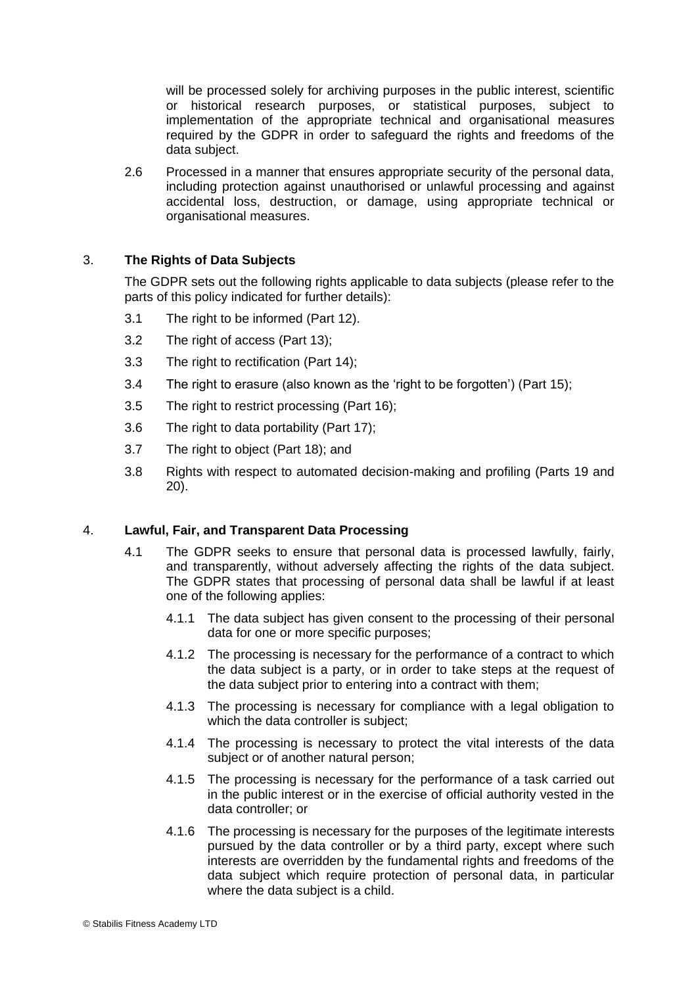will be processed solely for archiving purposes in the public interest, scientific or historical research purposes, or statistical purposes, subject to implementation of the appropriate technical and organisational measures required by the GDPR in order to safeguard the rights and freedoms of the data subject.

2.6 Processed in a manner that ensures appropriate security of the personal data, including protection against unauthorised or unlawful processing and against accidental loss, destruction, or damage, using appropriate technical or organisational measures.

# 3. **The Rights of Data Subjects**

The GDPR sets out the following rights applicable to data subjects (please refer to the parts of this policy indicated for further details):

- 3.1 The right to be informed (Part 12).
- 3.2 The right of access (Part 13);
- 3.3 The right to rectification (Part 14);
- 3.4 The right to erasure (also known as the 'right to be forgotten') (Part 15);
- 3.5 The right to restrict processing (Part 16);
- 3.6 The right to data portability (Part 17);
- 3.7 The right to object (Part 18); and
- 3.8 Rights with respect to automated decision-making and profiling (Parts 19 and 20).

#### 4. **Lawful, Fair, and Transparent Data Processing**

- 4.1 The GDPR seeks to ensure that personal data is processed lawfully, fairly, and transparently, without adversely affecting the rights of the data subject. The GDPR states that processing of personal data shall be lawful if at least one of the following applies:
	- 4.1.1 The data subject has given consent to the processing of their personal data for one or more specific purposes;
	- 4.1.2 The processing is necessary for the performance of a contract to which the data subject is a party, or in order to take steps at the request of the data subject prior to entering into a contract with them;
	- 4.1.3 The processing is necessary for compliance with a legal obligation to which the data controller is subject;
	- 4.1.4 The processing is necessary to protect the vital interests of the data subject or of another natural person;
	- 4.1.5 The processing is necessary for the performance of a task carried out in the public interest or in the exercise of official authority vested in the data controller; or
	- 4.1.6 The processing is necessary for the purposes of the legitimate interests pursued by the data controller or by a third party, except where such interests are overridden by the fundamental rights and freedoms of the data subject which require protection of personal data, in particular where the data subject is a child.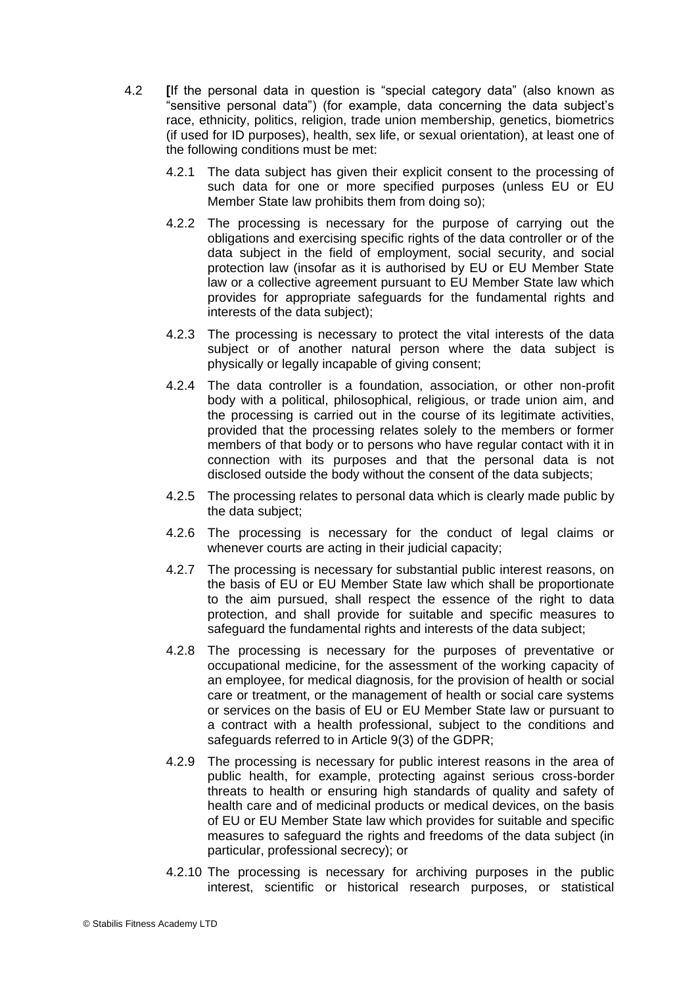- 4.2 **[**If the personal data in question is "special category data" (also known as "sensitive personal data") (for example, data concerning the data subject's race, ethnicity, politics, religion, trade union membership, genetics, biometrics (if used for ID purposes), health, sex life, or sexual orientation), at least one of the following conditions must be met:
	- 4.2.1 The data subject has given their explicit consent to the processing of such data for one or more specified purposes (unless EU or EU Member State law prohibits them from doing so);
	- 4.2.2 The processing is necessary for the purpose of carrying out the obligations and exercising specific rights of the data controller or of the data subject in the field of employment, social security, and social protection law (insofar as it is authorised by EU or EU Member State law or a collective agreement pursuant to EU Member State law which provides for appropriate safeguards for the fundamental rights and interests of the data subject);
	- 4.2.3 The processing is necessary to protect the vital interests of the data subject or of another natural person where the data subject is physically or legally incapable of giving consent;
	- 4.2.4 The data controller is a foundation, association, or other non-profit body with a political, philosophical, religious, or trade union aim, and the processing is carried out in the course of its legitimate activities, provided that the processing relates solely to the members or former members of that body or to persons who have regular contact with it in connection with its purposes and that the personal data is not disclosed outside the body without the consent of the data subjects;
	- 4.2.5 The processing relates to personal data which is clearly made public by the data subject;
	- 4.2.6 The processing is necessary for the conduct of legal claims or whenever courts are acting in their judicial capacity;
	- 4.2.7 The processing is necessary for substantial public interest reasons, on the basis of EU or EU Member State law which shall be proportionate to the aim pursued, shall respect the essence of the right to data protection, and shall provide for suitable and specific measures to safeguard the fundamental rights and interests of the data subject;
	- 4.2.8 The processing is necessary for the purposes of preventative or occupational medicine, for the assessment of the working capacity of an employee, for medical diagnosis, for the provision of health or social care or treatment, or the management of health or social care systems or services on the basis of EU or EU Member State law or pursuant to a contract with a health professional, subject to the conditions and safeguards referred to in Article 9(3) of the GDPR;
	- 4.2.9 The processing is necessary for public interest reasons in the area of public health, for example, protecting against serious cross-border threats to health or ensuring high standards of quality and safety of health care and of medicinal products or medical devices, on the basis of EU or EU Member State law which provides for suitable and specific measures to safeguard the rights and freedoms of the data subject (in particular, professional secrecy); or
	- 4.2.10 The processing is necessary for archiving purposes in the public interest, scientific or historical research purposes, or statistical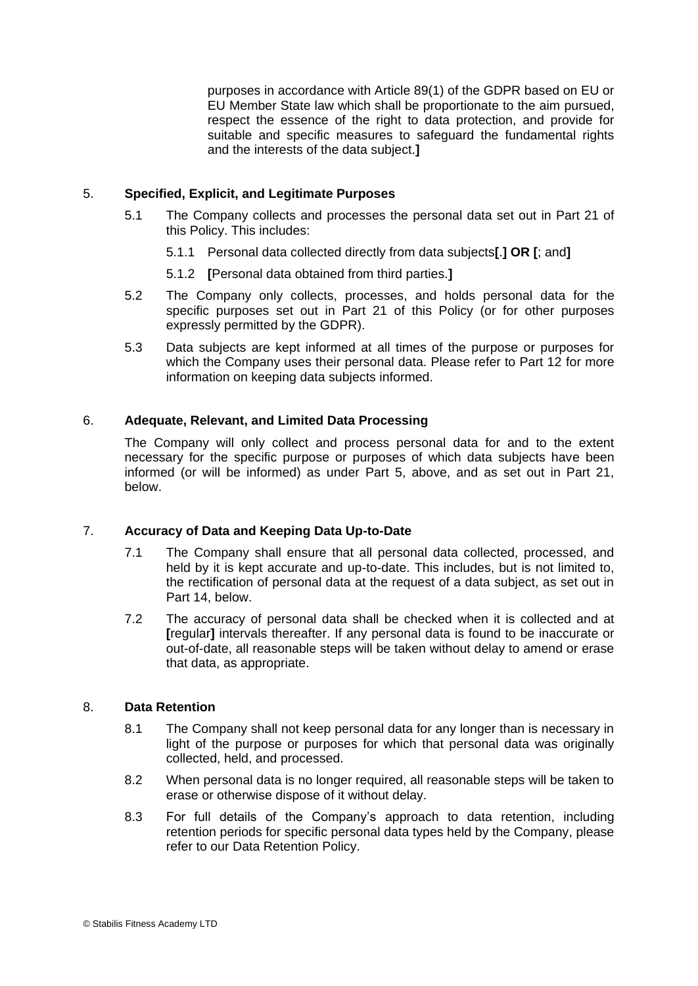purposes in accordance with Article 89(1) of the GDPR based on EU or EU Member State law which shall be proportionate to the aim pursued, respect the essence of the right to data protection, and provide for suitable and specific measures to safeguard the fundamental rights and the interests of the data subject.**]**

# 5. **Specified, Explicit, and Legitimate Purposes**

- 5.1 The Company collects and processes the personal data set out in Part 21 of this Policy. This includes:
	- 5.1.1 Personal data collected directly from data subjects**[**.**] OR [**; and**]**
	- 5.1.2 **[**Personal data obtained from third parties.**]**
- 5.2 The Company only collects, processes, and holds personal data for the specific purposes set out in Part 21 of this Policy (or for other purposes expressly permitted by the GDPR).
- 5.3 Data subjects are kept informed at all times of the purpose or purposes for which the Company uses their personal data. Please refer to Part 12 for more information on keeping data subjects informed.

# 6. **Adequate, Relevant, and Limited Data Processing**

The Company will only collect and process personal data for and to the extent necessary for the specific purpose or purposes of which data subjects have been informed (or will be informed) as under Part 5, above, and as set out in Part 21, below.

# 7. **Accuracy of Data and Keeping Data Up-to-Date**

- 7.1 The Company shall ensure that all personal data collected, processed, and held by it is kept accurate and up-to-date. This includes, but is not limited to, the rectification of personal data at the request of a data subject, as set out in Part 14, below.
- 7.2 The accuracy of personal data shall be checked when it is collected and at **[**regular**]** intervals thereafter. If any personal data is found to be inaccurate or out-of-date, all reasonable steps will be taken without delay to amend or erase that data, as appropriate.

# 8. **Data Retention**

- 8.1 The Company shall not keep personal data for any longer than is necessary in light of the purpose or purposes for which that personal data was originally collected, held, and processed.
- 8.2 When personal data is no longer required, all reasonable steps will be taken to erase or otherwise dispose of it without delay.
- 8.3 For full details of the Company's approach to data retention, including retention periods for specific personal data types held by the Company, please refer to our Data Retention Policy.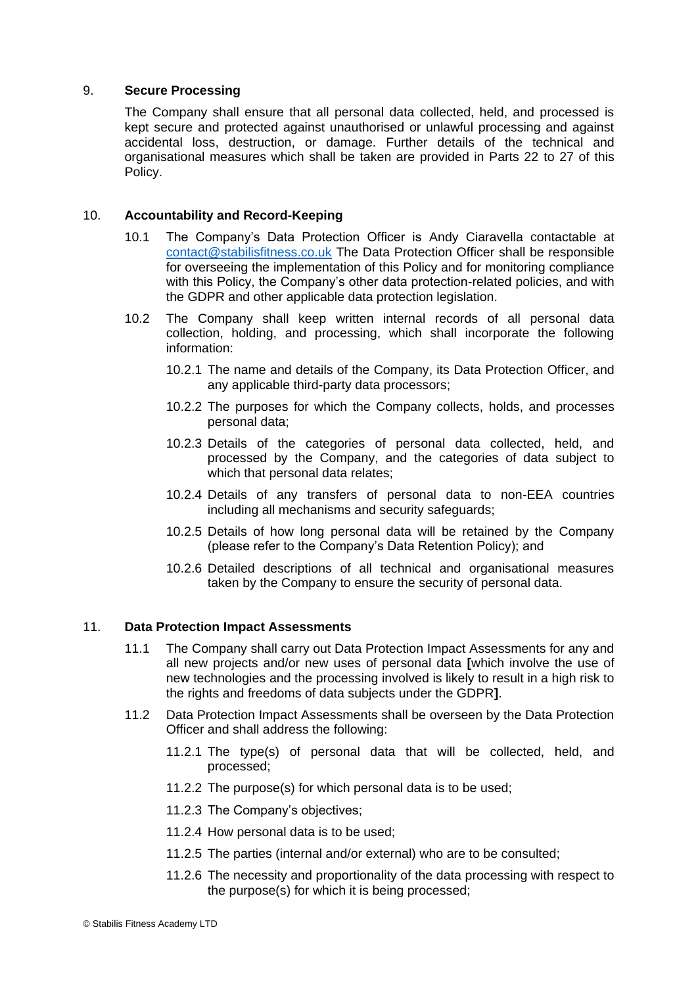# 9. **Secure Processing**

The Company shall ensure that all personal data collected, held, and processed is kept secure and protected against unauthorised or unlawful processing and against accidental loss, destruction, or damage. Further details of the technical and organisational measures which shall be taken are provided in Parts 22 to 27 of this Policy.

#### 10. **Accountability and Record-Keeping**

- 10.1 The Company's Data Protection Officer is Andy Ciaravella contactable at [contact@stabilisfitness.co.uk](mailto:contact@stabilisfitness.co.uk) The Data Protection Officer shall be responsible for overseeing the implementation of this Policy and for monitoring compliance with this Policy, the Company's other data protection-related policies, and with the GDPR and other applicable data protection legislation.
- 10.2 The Company shall keep written internal records of all personal data collection, holding, and processing, which shall incorporate the following information:
	- 10.2.1 The name and details of the Company, its Data Protection Officer, and any applicable third-party data processors;
	- 10.2.2 The purposes for which the Company collects, holds, and processes personal data;
	- 10.2.3 Details of the categories of personal data collected, held, and processed by the Company, and the categories of data subject to which that personal data relates;
	- 10.2.4 Details of any transfers of personal data to non-EEA countries including all mechanisms and security safeguards;
	- 10.2.5 Details of how long personal data will be retained by the Company (please refer to the Company's Data Retention Policy); and
	- 10.2.6 Detailed descriptions of all technical and organisational measures taken by the Company to ensure the security of personal data.

#### 11. **Data Protection Impact Assessments**

- 11.1 The Company shall carry out Data Protection Impact Assessments for any and all new projects and/or new uses of personal data **[**which involve the use of new technologies and the processing involved is likely to result in a high risk to the rights and freedoms of data subjects under the GDPR**]**.
- 11.2 Data Protection Impact Assessments shall be overseen by the Data Protection Officer and shall address the following:
	- 11.2.1 The type(s) of personal data that will be collected, held, and processed;
	- 11.2.2 The purpose(s) for which personal data is to be used;
	- 11.2.3 The Company's objectives;
	- 11.2.4 How personal data is to be used;
	- 11.2.5 The parties (internal and/or external) who are to be consulted;
	- 11.2.6 The necessity and proportionality of the data processing with respect to the purpose(s) for which it is being processed;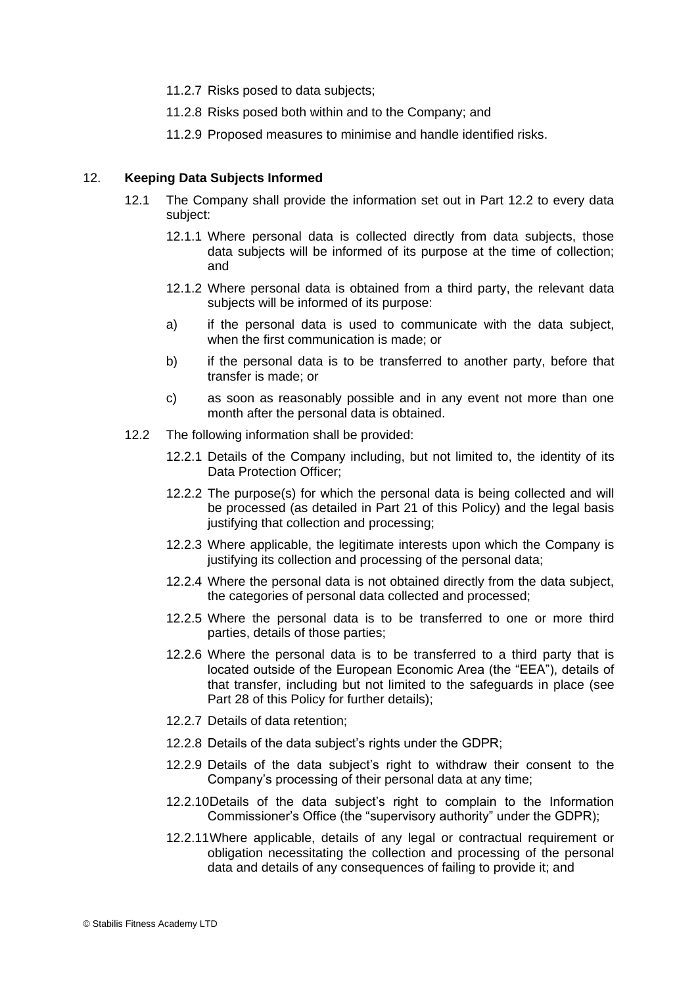- 11.2.7 Risks posed to data subjects;
- 11.2.8 Risks posed both within and to the Company; and
- 11.2.9 Proposed measures to minimise and handle identified risks.

#### 12. **Keeping Data Subjects Informed**

- 12.1 The Company shall provide the information set out in Part 12.2 to every data subject:
	- 12.1.1 Where personal data is collected directly from data subjects, those data subjects will be informed of its purpose at the time of collection; and
	- 12.1.2 Where personal data is obtained from a third party, the relevant data subjects will be informed of its purpose:
	- a) if the personal data is used to communicate with the data subject, when the first communication is made; or
	- b) if the personal data is to be transferred to another party, before that transfer is made; or
	- c) as soon as reasonably possible and in any event not more than one month after the personal data is obtained.
- 12.2 The following information shall be provided:
	- 12.2.1 Details of the Company including, but not limited to, the identity of its Data Protection Officer;
	- 12.2.2 The purpose(s) for which the personal data is being collected and will be processed (as detailed in Part 21 of this Policy) and the legal basis justifying that collection and processing;
	- 12.2.3 Where applicable, the legitimate interests upon which the Company is justifying its collection and processing of the personal data;
	- 12.2.4 Where the personal data is not obtained directly from the data subject, the categories of personal data collected and processed;
	- 12.2.5 Where the personal data is to be transferred to one or more third parties, details of those parties;
	- 12.2.6 Where the personal data is to be transferred to a third party that is located outside of the European Economic Area (the "EEA"), details of that transfer, including but not limited to the safeguards in place (see Part 28 of this Policy for further details);
	- 12.2.7 Details of data retention;
	- 12.2.8 Details of the data subject's rights under the GDPR;
	- 12.2.9 Details of the data subject's right to withdraw their consent to the Company's processing of their personal data at any time;
	- 12.2.10Details of the data subject's right to complain to the Information Commissioner's Office (the "supervisory authority" under the GDPR);
	- 12.2.11Where applicable, details of any legal or contractual requirement or obligation necessitating the collection and processing of the personal data and details of any consequences of failing to provide it; and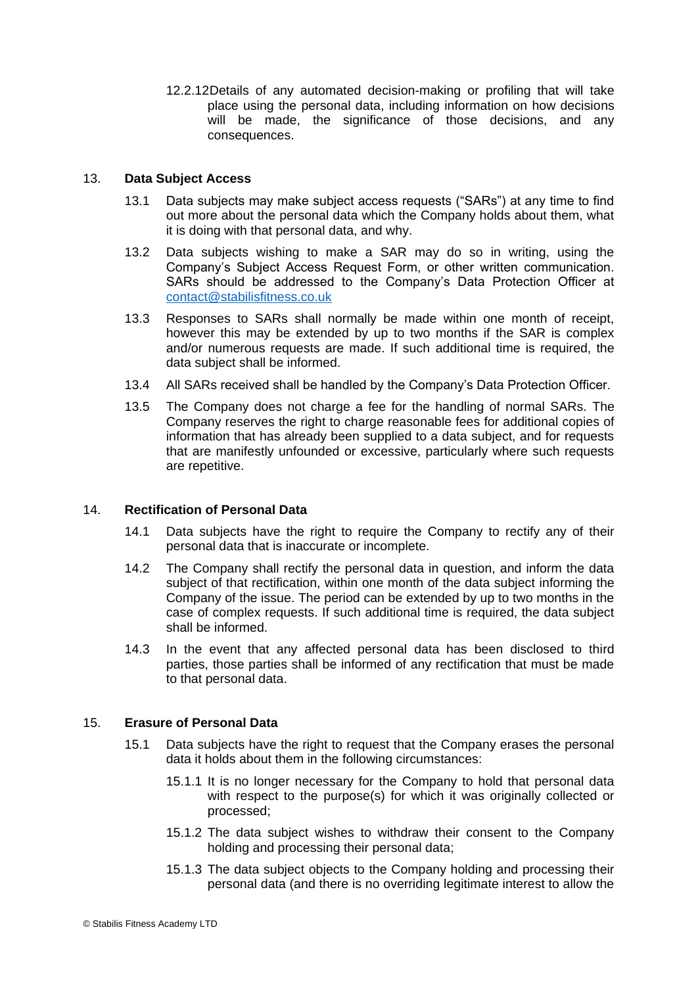12.2.12Details of any automated decision-making or profiling that will take place using the personal data, including information on how decisions will be made, the significance of those decisions, and any consequences.

## 13. **Data Subject Access**

- 13.1 Data subjects may make subject access requests ("SARs") at any time to find out more about the personal data which the Company holds about them, what it is doing with that personal data, and why.
- 13.2 Data subjects wishing to make a SAR may do so in writing, using the Company's Subject Access Request Form, or other written communication. SARs should be addressed to the Company's Data Protection Officer at [contact@stabilisfitness.co.uk](mailto:contact@stabilisfitness.co.uk)
- 13.3 Responses to SARs shall normally be made within one month of receipt, however this may be extended by up to two months if the SAR is complex and/or numerous requests are made. If such additional time is required, the data subject shall be informed.
- 13.4 All SARs received shall be handled by the Company's Data Protection Officer.
- 13.5 The Company does not charge a fee for the handling of normal SARs. The Company reserves the right to charge reasonable fees for additional copies of information that has already been supplied to a data subject, and for requests that are manifestly unfounded or excessive, particularly where such requests are repetitive.

# 14. **Rectification of Personal Data**

- 14.1 Data subjects have the right to require the Company to rectify any of their personal data that is inaccurate or incomplete.
- 14.2 The Company shall rectify the personal data in question, and inform the data subject of that rectification, within one month of the data subject informing the Company of the issue. The period can be extended by up to two months in the case of complex requests. If such additional time is required, the data subject shall be informed.
- 14.3 In the event that any affected personal data has been disclosed to third parties, those parties shall be informed of any rectification that must be made to that personal data.

#### 15. **Erasure of Personal Data**

- 15.1 Data subjects have the right to request that the Company erases the personal data it holds about them in the following circumstances:
	- 15.1.1 It is no longer necessary for the Company to hold that personal data with respect to the purpose(s) for which it was originally collected or processed;
	- 15.1.2 The data subject wishes to withdraw their consent to the Company holding and processing their personal data;
	- 15.1.3 The data subject objects to the Company holding and processing their personal data (and there is no overriding legitimate interest to allow the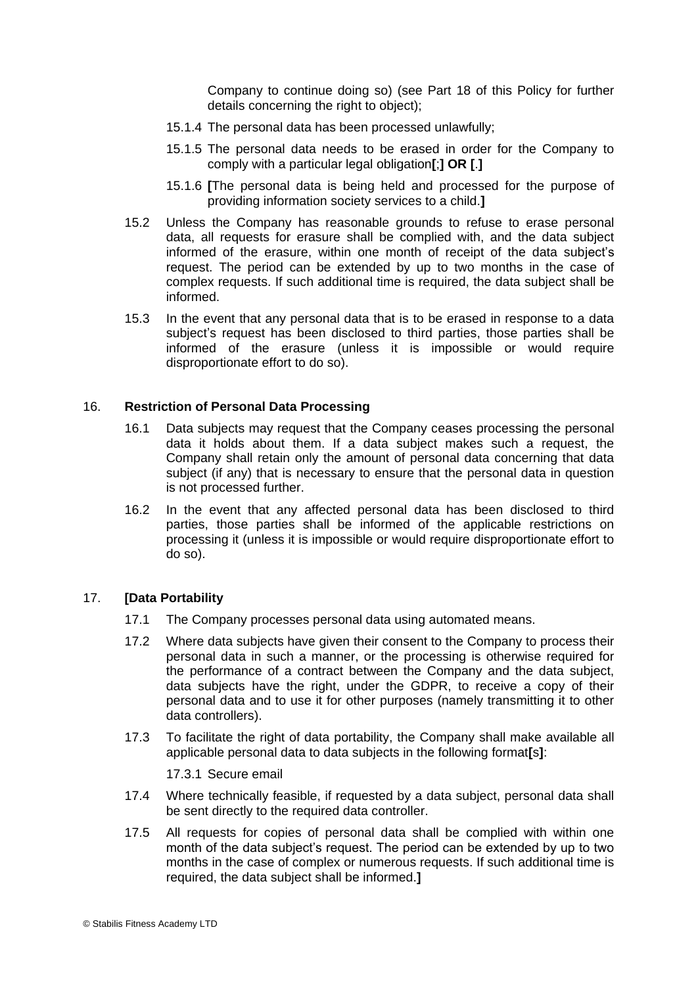Company to continue doing so) (see Part 18 of this Policy for further details concerning the right to object);

- 15.1.4 The personal data has been processed unlawfully;
- 15.1.5 The personal data needs to be erased in order for the Company to comply with a particular legal obligation**[**;**] OR [**.**]**
- 15.1.6 **[**The personal data is being held and processed for the purpose of providing information society services to a child.**]**
- 15.2 Unless the Company has reasonable grounds to refuse to erase personal data, all requests for erasure shall be complied with, and the data subject informed of the erasure, within one month of receipt of the data subject's request. The period can be extended by up to two months in the case of complex requests. If such additional time is required, the data subject shall be informed.
- 15.3 In the event that any personal data that is to be erased in response to a data subject's request has been disclosed to third parties, those parties shall be informed of the erasure (unless it is impossible or would require disproportionate effort to do so).

#### 16. **Restriction of Personal Data Processing**

- 16.1 Data subjects may request that the Company ceases processing the personal data it holds about them. If a data subject makes such a request, the Company shall retain only the amount of personal data concerning that data subject (if any) that is necessary to ensure that the personal data in question is not processed further.
- 16.2 In the event that any affected personal data has been disclosed to third parties, those parties shall be informed of the applicable restrictions on processing it (unless it is impossible or would require disproportionate effort to do so).

#### 17. **[Data Portability**

- 17.1 The Company processes personal data using automated means.
- 17.2 Where data subjects have given their consent to the Company to process their personal data in such a manner, or the processing is otherwise required for the performance of a contract between the Company and the data subject, data subjects have the right, under the GDPR, to receive a copy of their personal data and to use it for other purposes (namely transmitting it to other data controllers).
- 17.3 To facilitate the right of data portability, the Company shall make available all applicable personal data to data subjects in the following format**[**s**]**:

17.3.1 Secure email

- 17.4 Where technically feasible, if requested by a data subject, personal data shall be sent directly to the required data controller.
- 17.5 All requests for copies of personal data shall be complied with within one month of the data subject's request. The period can be extended by up to two months in the case of complex or numerous requests. If such additional time is required, the data subject shall be informed.**]**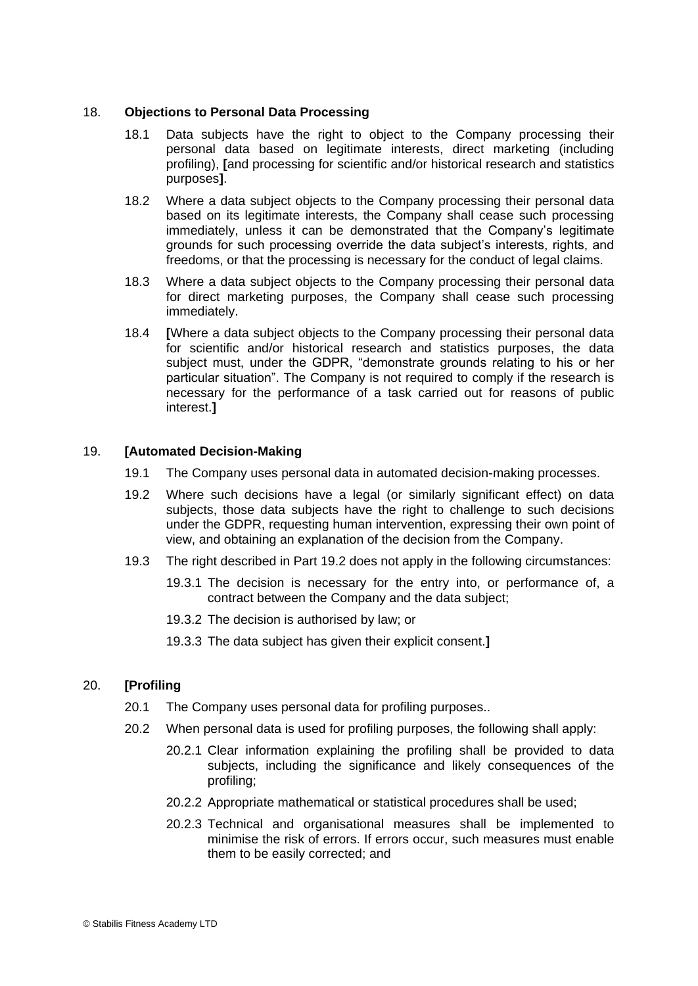#### 18. **Objections to Personal Data Processing**

- 18.1 Data subjects have the right to object to the Company processing their personal data based on legitimate interests, direct marketing (including profiling), **[**and processing for scientific and/or historical research and statistics purposes**]**.
- 18.2 Where a data subject objects to the Company processing their personal data based on its legitimate interests, the Company shall cease such processing immediately, unless it can be demonstrated that the Company's legitimate grounds for such processing override the data subject's interests, rights, and freedoms, or that the processing is necessary for the conduct of legal claims.
- 18.3 Where a data subject objects to the Company processing their personal data for direct marketing purposes, the Company shall cease such processing immediately.
- 18.4 **[**Where a data subject objects to the Company processing their personal data for scientific and/or historical research and statistics purposes, the data subject must, under the GDPR, "demonstrate grounds relating to his or her particular situation". The Company is not required to comply if the research is necessary for the performance of a task carried out for reasons of public interest.**]**

# 19. **[Automated Decision-Making**

- 19.1 The Company uses personal data in automated decision-making processes.
- 19.2 Where such decisions have a legal (or similarly significant effect) on data subjects, those data subjects have the right to challenge to such decisions under the GDPR, requesting human intervention, expressing their own point of view, and obtaining an explanation of the decision from the Company.
- 19.3 The right described in Part 19.2 does not apply in the following circumstances:
	- 19.3.1 The decision is necessary for the entry into, or performance of, a contract between the Company and the data subject;
	- 19.3.2 The decision is authorised by law; or
	- 19.3.3 The data subject has given their explicit consent.**]**

#### 20. **[Profiling**

- 20.1 The Company uses personal data for profiling purposes..
- 20.2 When personal data is used for profiling purposes, the following shall apply:
	- 20.2.1 Clear information explaining the profiling shall be provided to data subjects, including the significance and likely consequences of the profiling;
	- 20.2.2 Appropriate mathematical or statistical procedures shall be used;
	- 20.2.3 Technical and organisational measures shall be implemented to minimise the risk of errors. If errors occur, such measures must enable them to be easily corrected; and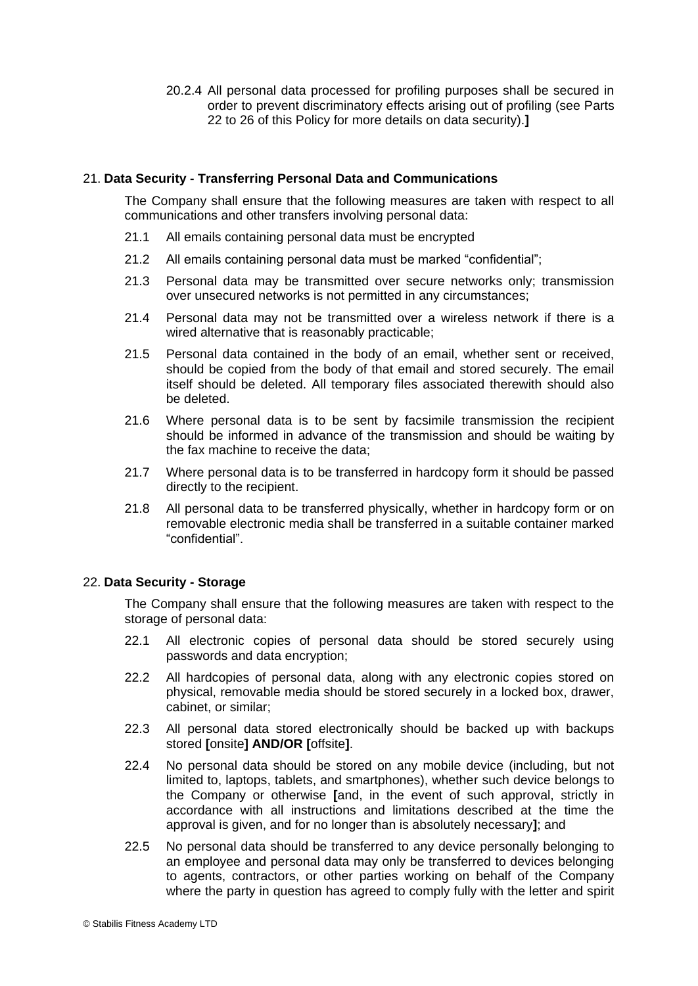20.2.4 All personal data processed for profiling purposes shall be secured in order to prevent discriminatory effects arising out of profiling (see Parts 22 to 26 of this Policy for more details on data security).**]**

## 21. **Data Security - Transferring Personal Data and Communications**

The Company shall ensure that the following measures are taken with respect to all communications and other transfers involving personal data:

- 21.1 All emails containing personal data must be encrypted
- 21.2 All emails containing personal data must be marked "confidential";
- 21.3 Personal data may be transmitted over secure networks only; transmission over unsecured networks is not permitted in any circumstances;
- 21.4 Personal data may not be transmitted over a wireless network if there is a wired alternative that is reasonably practicable;
- 21.5 Personal data contained in the body of an email, whether sent or received, should be copied from the body of that email and stored securely. The email itself should be deleted. All temporary files associated therewith should also be deleted.
- 21.6 Where personal data is to be sent by facsimile transmission the recipient should be informed in advance of the transmission and should be waiting by the fax machine to receive the data;
- 21.7 Where personal data is to be transferred in hardcopy form it should be passed directly to the recipient.
- 21.8 All personal data to be transferred physically, whether in hardcopy form or on removable electronic media shall be transferred in a suitable container marked "confidential".

# 22. **Data Security - Storage**

The Company shall ensure that the following measures are taken with respect to the storage of personal data:

- 22.1 All electronic copies of personal data should be stored securely using passwords and data encryption;
- 22.2 All hardcopies of personal data, along with any electronic copies stored on physical, removable media should be stored securely in a locked box, drawer, cabinet, or similar;
- 22.3 All personal data stored electronically should be backed up with backups stored **[**onsite**] AND/OR [**offsite**]**.
- 22.4 No personal data should be stored on any mobile device (including, but not limited to, laptops, tablets, and smartphones), whether such device belongs to the Company or otherwise **[**and, in the event of such approval, strictly in accordance with all instructions and limitations described at the time the approval is given, and for no longer than is absolutely necessary**]**; and
- 22.5 No personal data should be transferred to any device personally belonging to an employee and personal data may only be transferred to devices belonging to agents, contractors, or other parties working on behalf of the Company where the party in question has agreed to comply fully with the letter and spirit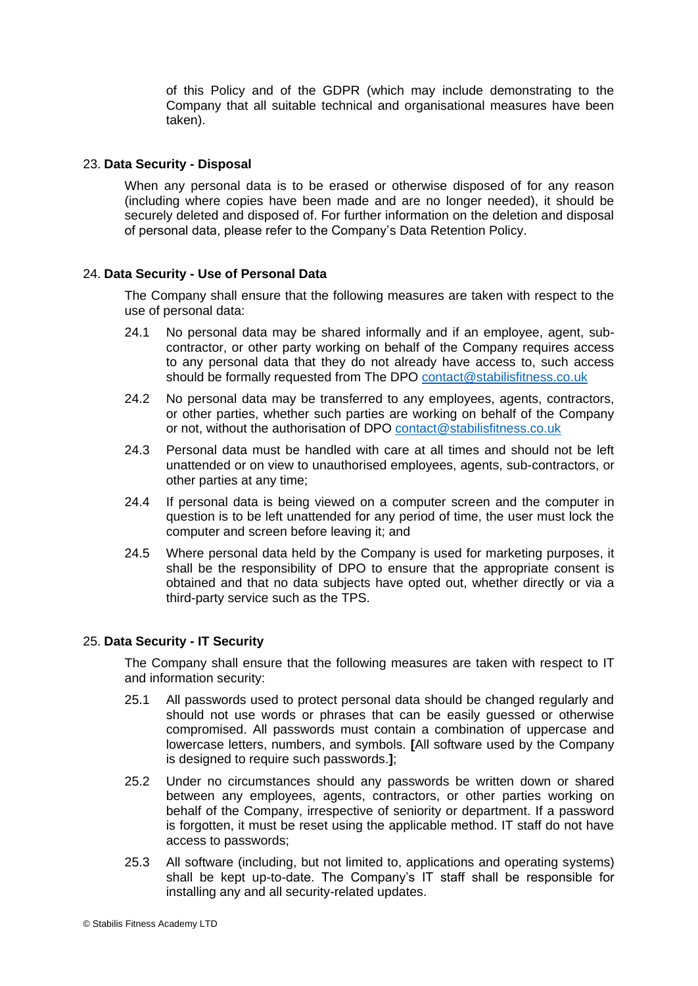of this Policy and of the GDPR (which may include demonstrating to the Company that all suitable technical and organisational measures have been taken).

#### 23. **Data Security - Disposal**

When any personal data is to be erased or otherwise disposed of for any reason (including where copies have been made and are no longer needed), it should be securely deleted and disposed of. For further information on the deletion and disposal of personal data, please refer to the Company's Data Retention Policy.

#### 24. **Data Security - Use of Personal Data**

The Company shall ensure that the following measures are taken with respect to the use of personal data:

- 24.1 No personal data may be shared informally and if an employee, agent, subcontractor, or other party working on behalf of the Company requires access to any personal data that they do not already have access to, such access should be formally requested from The DPO [contact@stabilisfitness.co.uk](mailto:contact@stabilisfitness.co.uk)
- 24.2 No personal data may be transferred to any employees, agents, contractors, or other parties, whether such parties are working on behalf of the Company or not, without the authorisation of DPO [contact@stabilisfitness.co.uk](mailto:contact@stabilisfitness.co.uk)
- 24.3 Personal data must be handled with care at all times and should not be left unattended or on view to unauthorised employees, agents, sub-contractors, or other parties at any time;
- 24.4 If personal data is being viewed on a computer screen and the computer in question is to be left unattended for any period of time, the user must lock the computer and screen before leaving it; and
- 24.5 Where personal data held by the Company is used for marketing purposes, it shall be the responsibility of DPO to ensure that the appropriate consent is obtained and that no data subjects have opted out, whether directly or via a third-party service such as the TPS.

#### 25. **Data Security - IT Security**

The Company shall ensure that the following measures are taken with respect to IT and information security:

- 25.1 All passwords used to protect personal data should be changed regularly and should not use words or phrases that can be easily guessed or otherwise compromised. All passwords must contain a combination of uppercase and lowercase letters, numbers, and symbols. **[**All software used by the Company is designed to require such passwords.**]**;
- 25.2 Under no circumstances should any passwords be written down or shared between any employees, agents, contractors, or other parties working on behalf of the Company, irrespective of seniority or department. If a password is forgotten, it must be reset using the applicable method. IT staff do not have access to passwords;
- 25.3 All software (including, but not limited to, applications and operating systems) shall be kept up-to-date. The Company's IT staff shall be responsible for installing any and all security-related updates.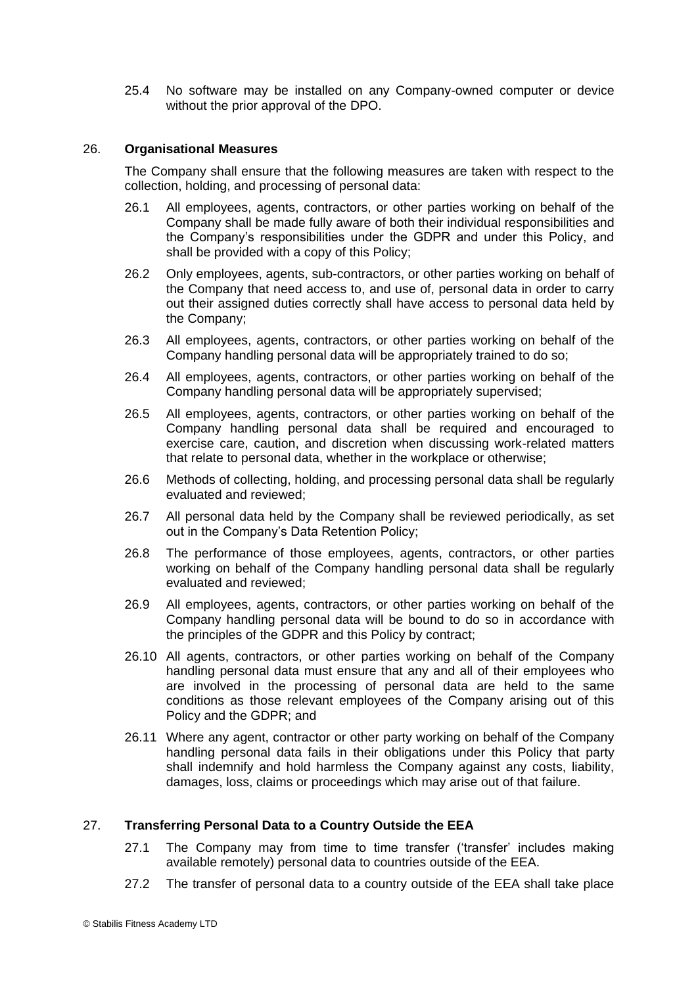25.4 No software may be installed on any Company-owned computer or device without the prior approval of the DPO.

#### 26. **Organisational Measures**

The Company shall ensure that the following measures are taken with respect to the collection, holding, and processing of personal data:

- 26.1 All employees, agents, contractors, or other parties working on behalf of the Company shall be made fully aware of both their individual responsibilities and the Company's responsibilities under the GDPR and under this Policy, and shall be provided with a copy of this Policy;
- 26.2 Only employees, agents, sub-contractors, or other parties working on behalf of the Company that need access to, and use of, personal data in order to carry out their assigned duties correctly shall have access to personal data held by the Company;
- 26.3 All employees, agents, contractors, or other parties working on behalf of the Company handling personal data will be appropriately trained to do so;
- 26.4 All employees, agents, contractors, or other parties working on behalf of the Company handling personal data will be appropriately supervised;
- 26.5 All employees, agents, contractors, or other parties working on behalf of the Company handling personal data shall be required and encouraged to exercise care, caution, and discretion when discussing work-related matters that relate to personal data, whether in the workplace or otherwise;
- 26.6 Methods of collecting, holding, and processing personal data shall be regularly evaluated and reviewed;
- 26.7 All personal data held by the Company shall be reviewed periodically, as set out in the Company's Data Retention Policy;
- 26.8 The performance of those employees, agents, contractors, or other parties working on behalf of the Company handling personal data shall be regularly evaluated and reviewed;
- 26.9 All employees, agents, contractors, or other parties working on behalf of the Company handling personal data will be bound to do so in accordance with the principles of the GDPR and this Policy by contract;
- 26.10 All agents, contractors, or other parties working on behalf of the Company handling personal data must ensure that any and all of their employees who are involved in the processing of personal data are held to the same conditions as those relevant employees of the Company arising out of this Policy and the GDPR; and
- 26.11 Where any agent, contractor or other party working on behalf of the Company handling personal data fails in their obligations under this Policy that party shall indemnify and hold harmless the Company against any costs, liability, damages, loss, claims or proceedings which may arise out of that failure.

# 27. **Transferring Personal Data to a Country Outside the EEA**

- 27.1 The Company may from time to time transfer ('transfer' includes making available remotely) personal data to countries outside of the EEA.
- 27.2 The transfer of personal data to a country outside of the EEA shall take place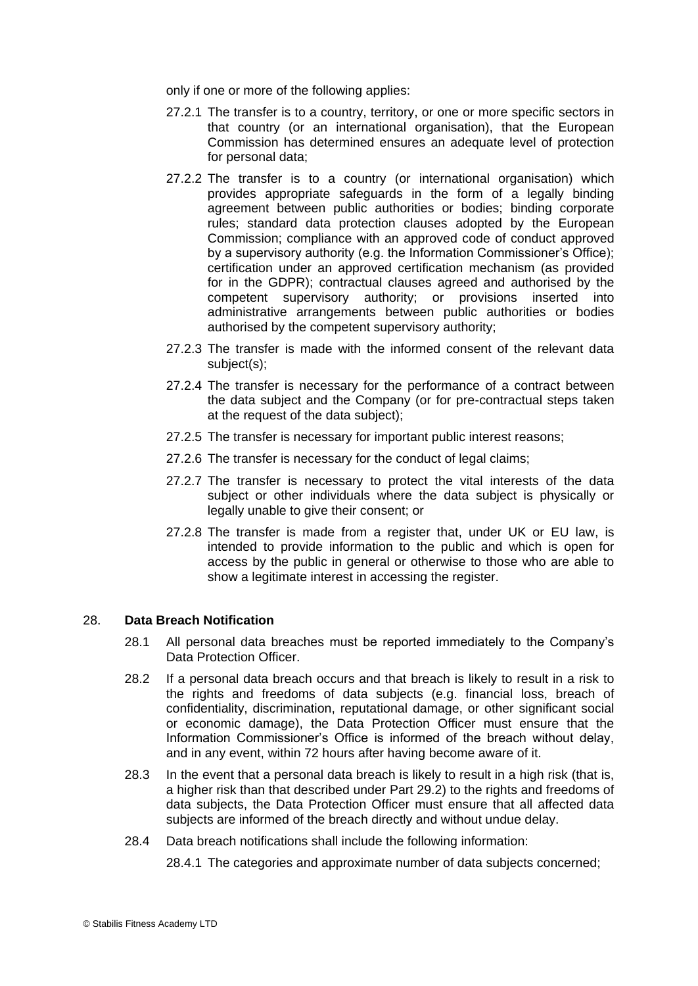only if one or more of the following applies:

- 27.2.1 The transfer is to a country, territory, or one or more specific sectors in that country (or an international organisation), that the European Commission has determined ensures an adequate level of protection for personal data;
- 27.2.2 The transfer is to a country (or international organisation) which provides appropriate safeguards in the form of a legally binding agreement between public authorities or bodies; binding corporate rules; standard data protection clauses adopted by the European Commission; compliance with an approved code of conduct approved by a supervisory authority (e.g. the Information Commissioner's Office); certification under an approved certification mechanism (as provided for in the GDPR); contractual clauses agreed and authorised by the competent supervisory authority; or provisions inserted into administrative arrangements between public authorities or bodies authorised by the competent supervisory authority;
- 27.2.3 The transfer is made with the informed consent of the relevant data subject(s);
- 27.2.4 The transfer is necessary for the performance of a contract between the data subject and the Company (or for pre-contractual steps taken at the request of the data subject);
- 27.2.5 The transfer is necessary for important public interest reasons;
- 27.2.6 The transfer is necessary for the conduct of legal claims;
- 27.2.7 The transfer is necessary to protect the vital interests of the data subject or other individuals where the data subject is physically or legally unable to give their consent; or
- 27.2.8 The transfer is made from a register that, under UK or EU law, is intended to provide information to the public and which is open for access by the public in general or otherwise to those who are able to show a legitimate interest in accessing the register.

#### 28. **Data Breach Notification**

- 28.1 All personal data breaches must be reported immediately to the Company's Data Protection Officer.
- 28.2 If a personal data breach occurs and that breach is likely to result in a risk to the rights and freedoms of data subjects (e.g. financial loss, breach of confidentiality, discrimination, reputational damage, or other significant social or economic damage), the Data Protection Officer must ensure that the Information Commissioner's Office is informed of the breach without delay, and in any event, within 72 hours after having become aware of it.
- 28.3 In the event that a personal data breach is likely to result in a high risk (that is, a higher risk than that described under Part 29.2) to the rights and freedoms of data subjects, the Data Protection Officer must ensure that all affected data subjects are informed of the breach directly and without undue delay.
- 28.4 Data breach notifications shall include the following information:

28.4.1 The categories and approximate number of data subjects concerned;